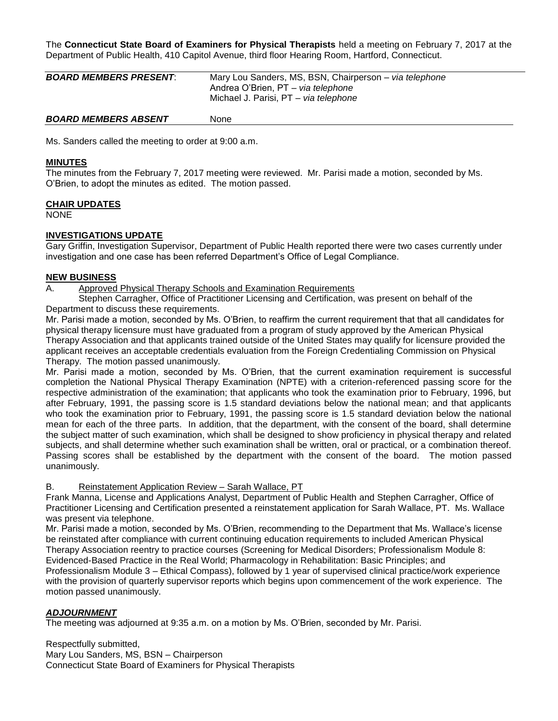The **Connecticut State Board of Examiners for Physical Therapists** held a meeting on February 7, 2017 at the Department of Public Health, 410 Capitol Avenue, third floor Hearing Room, Hartford, Connecticut.

| <b>BOARD MEMBERS PRESENT:</b> | Mary Lou Sanders, MS, BSN, Chairperson - via telephone<br>Andrea O'Brien, PT - via telephone<br>Michael J. Parisi. PT – via telephone |
|-------------------------------|---------------------------------------------------------------------------------------------------------------------------------------|
| <b>BOARD MEMBERS ABSENT</b>   | <b>None</b>                                                                                                                           |

Ms. Sanders called the meeting to order at 9:00 a.m.

#### **MINUTES**

The minutes from the February 7, 2017 meeting were reviewed. Mr. Parisi made a motion, seconded by Ms. O'Brien, to adopt the minutes as edited. The motion passed.

#### **CHAIR UPDATES**

NONE

#### **INVESTIGATIONS UPDATE**

Gary Griffin, Investigation Supervisor, Department of Public Health reported there were two cases currently under investigation and one case has been referred Department's Office of Legal Compliance.

#### **NEW BUSINESS**

A. Approved Physical Therapy Schools and Examination Requirements

Stephen Carragher, Office of Practitioner Licensing and Certification, was present on behalf of the Department to discuss these requirements.

Mr. Parisi made a motion, seconded by Ms. O'Brien, to reaffirm the current requirement that that all candidates for physical therapy licensure must have graduated from a program of study approved by the American Physical Therapy Association and that applicants trained outside of the United States may qualify for licensure provided the applicant receives an acceptable credentials evaluation from the Foreign Credentialing Commission on Physical Therapy. The motion passed unanimously.

Mr. Parisi made a motion, seconded by Ms. O'Brien, that the current examination requirement is successful completion the National Physical Therapy Examination (NPTE) with a criterion-referenced passing score for the respective administration of the examination; that applicants who took the examination prior to February, 1996, but after February, 1991, the passing score is 1.5 standard deviations below the national mean; and that applicants who took the examination prior to February, 1991, the passing score is 1.5 standard deviation below the national mean for each of the three parts. In addition, that the department, with the consent of the board, shall determine the subject matter of such examination, which shall be designed to show proficiency in physical therapy and related subjects, and shall determine whether such examination shall be written, oral or practical, or a combination thereof. Passing scores shall be established by the department with the consent of the board. The motion passed unanimously.

#### B. Reinstatement Application Review – Sarah Wallace, PT

Frank Manna, License and Applications Analyst, Department of Public Health and Stephen Carragher, Office of Practitioner Licensing and Certification presented a reinstatement application for Sarah Wallace, PT. Ms. Wallace was present via telephone.

Mr. Parisi made a motion, seconded by Ms. O'Brien, recommending to the Department that Ms. Wallace's license be reinstated after compliance with current continuing education requirements to included American Physical Therapy Association reentry to practice courses [\(Screening for Medical Disorders; Professionalism Module 8:](http://learningcenter.apta.org/student/MyCourse.aspx?id=d42e4774-97ba-4220-b853-9829e2d42e7a&programid=dcca7f06-4cd9-4530-b9d3-4ef7d2717b5d)  [Evidenced-Based Practice in the Real World; Pharmacology in Rehabilitation: Basic Principles; and](http://learningcenter.apta.org/student/MyCourse.aspx?id=d42e4774-97ba-4220-b853-9829e2d42e7a&programid=dcca7f06-4cd9-4530-b9d3-4ef7d2717b5d)  [Professionalism Module 3 –](http://learningcenter.apta.org/student/MyCourse.aspx?id=f4cbb17a-50fa-4f90-9d4c-d2962953e57f&programid=dcca7f06-4cd9-4530-b9d3-4ef7d2717b5d) Ethical Compass), followed by 1 year of supervised clinical practice/work experience

with the provision of quarterly supervisor reports which begins upon commencement of the work experience. The motion passed unanimously.

## *ADJOURNMENT*

The meeting was adjourned at 9:35 a.m. on a motion by Ms. O'Brien, seconded by Mr. Parisi.

Respectfully submitted, Mary Lou Sanders, MS, BSN – Chairperson Connecticut State Board of Examiners for Physical Therapists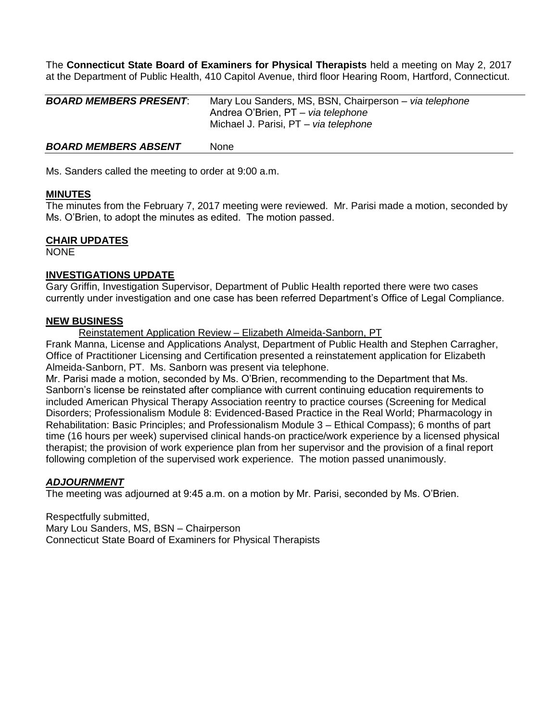The **Connecticut State Board of Examiners for Physical Therapists** held a meeting on May 2, 2017 at the Department of Public Health, 410 Capitol Avenue, third floor Hearing Room, Hartford, Connecticut.

| <b>BOARD MEMBERS PRESENT:</b> | Mary Lou Sanders, MS, BSN, Chairperson - via telephone<br>Andrea O'Brien, PT - via telephone<br>Michael J. Parisi, PT - via telephone |
|-------------------------------|---------------------------------------------------------------------------------------------------------------------------------------|
| <b>BOARD MEMBERS ABSENT</b>   | <b>None</b>                                                                                                                           |

Ms. Sanders called the meeting to order at 9:00 a.m.

## **MINUTES**

The minutes from the February 7, 2017 meeting were reviewed. Mr. Parisi made a motion, seconded by Ms. O'Brien, to adopt the minutes as edited. The motion passed.

## **CHAIR UPDATES**

NONE

#### **INVESTIGATIONS UPDATE**

Gary Griffin, Investigation Supervisor, Department of Public Health reported there were two cases currently under investigation and one case has been referred Department's Office of Legal Compliance.

#### **NEW BUSINESS**

Reinstatement Application Review – Elizabeth Almeida-Sanborn, PT

Frank Manna, License and Applications Analyst, Department of Public Health and Stephen Carragher, Office of Practitioner Licensing and Certification presented a reinstatement application for Elizabeth Almeida-Sanborn, PT. Ms. Sanborn was present via telephone.

Mr. Parisi made a motion, seconded by Ms. O'Brien, recommending to the Department that Ms. Sanborn's license be reinstated after compliance with current continuing education requirements to included American Physical Therapy Association reentry to practice courses [\(Screening for Medical](http://learningcenter.apta.org/student/MyCourse.aspx?id=d42e4774-97ba-4220-b853-9829e2d42e7a&programid=dcca7f06-4cd9-4530-b9d3-4ef7d2717b5d)  [Disorders; Professionalism Module 8: Evidenced-Based Practice in the Real World; Pharmacology in](http://learningcenter.apta.org/student/MyCourse.aspx?id=d42e4774-97ba-4220-b853-9829e2d42e7a&programid=dcca7f06-4cd9-4530-b9d3-4ef7d2717b5d)  [Rehabilitation: Basic Principles;](http://learningcenter.apta.org/student/MyCourse.aspx?id=23541a8b-5c0a-4f58-8f2d-b1914eda4020&programid=dcca7f06-4cd9-4530-b9d3-4ef7d2717b5d) and [Professionalism Module 3 –](http://learningcenter.apta.org/student/MyCourse.aspx?id=f4cbb17a-50fa-4f90-9d4c-d2962953e57f&programid=dcca7f06-4cd9-4530-b9d3-4ef7d2717b5d) Ethical Compass); 6 months of part time (16 hours per week) supervised clinical hands-on practice/work experience by a licensed physical therapist; the provision of work experience plan from her supervisor and the provision of a final report following completion of the supervised work experience. The motion passed unanimously.

## *ADJOURNMENT*

The meeting was adjourned at 9:45 a.m. on a motion by Mr. Parisi, seconded by Ms. O'Brien.

Respectfully submitted, Mary Lou Sanders, MS, BSN – Chairperson Connecticut State Board of Examiners for Physical Therapists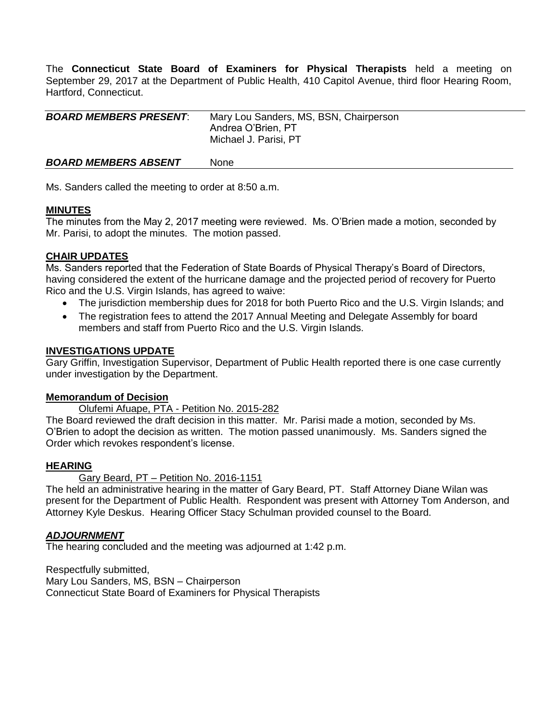The **Connecticut State Board of Examiners for Physical Therapists** held a meeting on September 29, 2017 at the Department of Public Health, 410 Capitol Avenue, third floor Hearing Room, Hartford, Connecticut.

| <b>BOARD MEMBERS PRESENT:</b> | Mary Lou Sanders, MS, BSN, Chairperson<br>Andrea O'Brien, PT<br>Michael J. Parisi, PT |
|-------------------------------|---------------------------------------------------------------------------------------|
| <b>BOARD MEMBERS ABSENT</b>   | <b>None</b>                                                                           |

Ms. Sanders called the meeting to order at 8:50 a.m.

## **MINUTES**

The minutes from the May 2, 2017 meeting were reviewed. Ms. O'Brien made a motion, seconded by Mr. Parisi, to adopt the minutes. The motion passed.

## **CHAIR UPDATES**

Ms. Sanders reported that the Federation of State Boards of Physical Therapy's Board of Directors, having considered the extent of the hurricane damage and the projected period of recovery for Puerto Rico and the U.S. Virgin Islands, has agreed to waive:

- The jurisdiction membership dues for 2018 for both Puerto Rico and the U.S. Virgin Islands; and
- The registration fees to attend the 2017 Annual Meeting and Delegate Assembly for board members and staff from Puerto Rico and the U.S. Virgin Islands.

## **INVESTIGATIONS UPDATE**

Gary Griffin, Investigation Supervisor, Department of Public Health reported there is one case currently under investigation by the Department.

## **Memorandum of Decision**

Olufemi Afuape, PTA - Petition No. 2015-282

The Board reviewed the draft decision in this matter. Mr. Parisi made a motion, seconded by Ms. O'Brien to adopt the decision as written. The motion passed unanimously. Ms. Sanders signed the Order which revokes respondent's license.

## **HEARING**

Gary Beard, PT – Petition No. 2016-1151

The held an administrative hearing in the matter of Gary Beard, PT. Staff Attorney Diane Wilan was present for the Department of Public Health. Respondent was present with Attorney Tom Anderson, and Attorney Kyle Deskus. Hearing Officer Stacy Schulman provided counsel to the Board.

## *ADJOURNMENT*

The hearing concluded and the meeting was adjourned at 1:42 p.m.

Respectfully submitted, Mary Lou Sanders, MS, BSN – Chairperson Connecticut State Board of Examiners for Physical Therapists